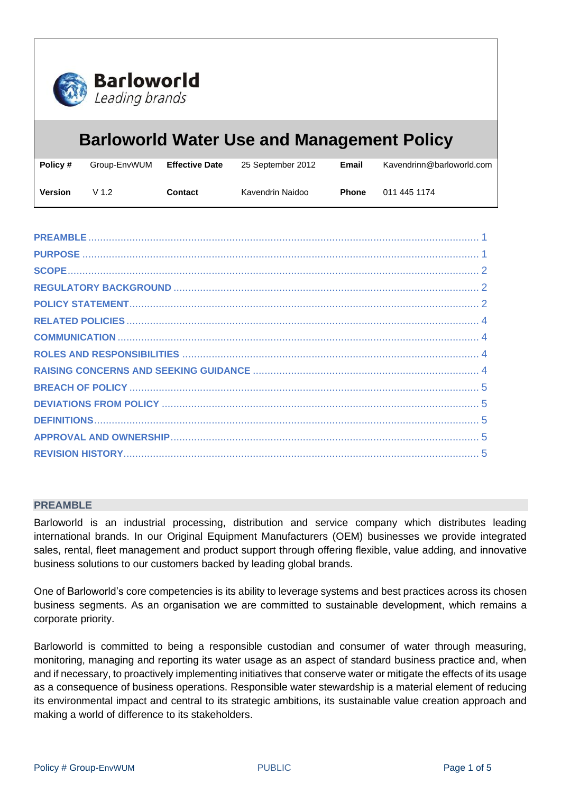

# **Barloworld Water Use and Management Policy**

| Policy #       | Group-EnvWUM | <b>Effective Date</b> | 25 September 2012 | Email        | Kavendrinn@barloworld.com |
|----------------|--------------|-----------------------|-------------------|--------------|---------------------------|
| <b>Version</b> | V 1 2        | Contact               | Kavendrin Naidoo  | <b>Phone</b> | 011 445 1174              |

## <span id="page-0-0"></span>**PREAMBLE**

Barloworld is an industrial processing, distribution and service company which distributes leading international brands. In our Original Equipment Manufacturers (OEM) businesses we provide integrated sales, rental, fleet management and product support through offering flexible, value adding, and innovative business solutions to our customers backed by leading global brands.

One of Barloworld's core competencies is its ability to leverage systems and best practices across its chosen business segments. As an organisation we are committed to sustainable development, which remains a corporate priority.

<span id="page-0-1"></span>Barloworld is committed to being a responsible custodian and consumer of water through measuring, monitoring, managing and reporting its water usage as an aspect of standard business practice and, when and if necessary, to proactively implementing initiatives that conserve water or mitigate the effects of its usage as a consequence of business operations. Responsible water stewardship is a material element of reducing its environmental impact and central to its strategic ambitions, its sustainable value creation approach and making a world of difference to its stakeholders.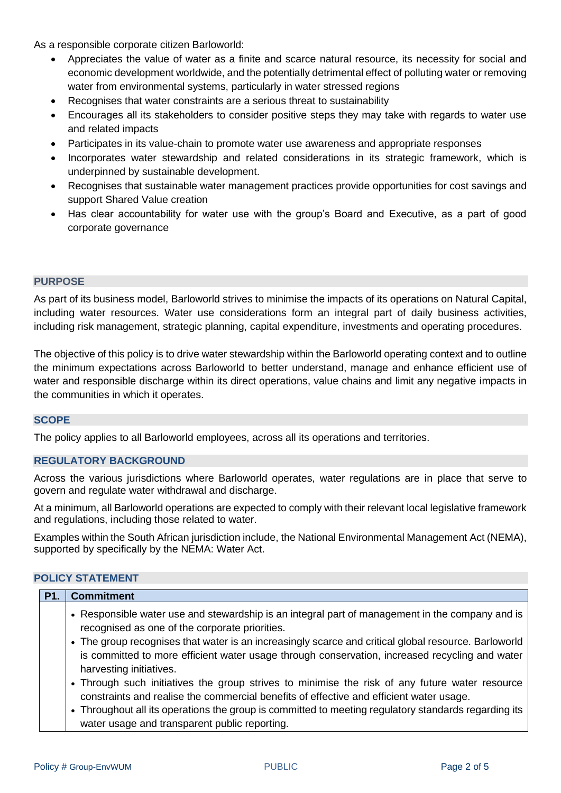As a responsible corporate citizen Barloworld:

- Appreciates the value of water as a finite and scarce natural resource, its necessity for social and economic development worldwide, and the potentially detrimental effect of polluting water or removing water from environmental systems, particularly in water stressed regions
- Recognises that water constraints are a serious threat to sustainability
- Encourages all its stakeholders to consider positive steps they may take with regards to water use and related impacts
- Participates in its value-chain to promote water use awareness and appropriate responses
- Incorporates water stewardship and related considerations in its strategic framework, which is underpinned by sustainable development.
- Recognises that sustainable water management practices provide opportunities for cost savings and support Shared Value creation
- Has clear accountability for water use with the group's Board and Executive, as a part of good corporate governance

## **PURPOSE**

As part of its business model, Barloworld strives to minimise the impacts of its operations on Natural Capital, including water resources. Water use considerations form an integral part of daily business activities, including risk management, strategic planning, capital expenditure, investments and operating procedures.

<span id="page-1-0"></span>The objective of this policy is to drive water stewardship within the Barloworld operating context and to outline the minimum expectations across Barloworld to better understand, manage and enhance efficient use of water and responsible discharge within its direct operations, value chains and limit any negative impacts in the communities in which it operates.

## **SCOPE**

<span id="page-1-1"></span>The policy applies to all Barloworld employees, across all its operations and territories.

# **REGULATORY BACKGROUND**

Across the various jurisdictions where Barloworld operates, water regulations are in place that serve to govern and regulate water withdrawal and discharge.

At a minimum, all Barloworld operations are expected to comply with their relevant local legislative framework and regulations, including those related to water.

Examples within the South African jurisdiction include, the National Environmental Management Act (NEMA), supported by specifically by the NEMA: Water Act.

# <span id="page-1-2"></span>**POLICY STATEMENT**

| <b>P1.</b> | <b>Commitment</b>                                                                                                                                                                                                                                                                                                                                                                                                                                                                                                                                                                                                                                                                                                                            |
|------------|----------------------------------------------------------------------------------------------------------------------------------------------------------------------------------------------------------------------------------------------------------------------------------------------------------------------------------------------------------------------------------------------------------------------------------------------------------------------------------------------------------------------------------------------------------------------------------------------------------------------------------------------------------------------------------------------------------------------------------------------|
|            | • Responsible water use and stewardship is an integral part of management in the company and is<br>recognised as one of the corporate priorities.<br>• The group recognises that water is an increasingly scarce and critical global resource. Barloworld<br>is committed to more efficient water usage through conservation, increased recycling and water<br>harvesting initiatives.<br>• Through such initiatives the group strives to minimise the risk of any future water resource<br>constraints and realise the commercial benefits of effective and efficient water usage.<br>• Throughout all its operations the group is committed to meeting regulatory standards regarding its<br>water usage and transparent public reporting. |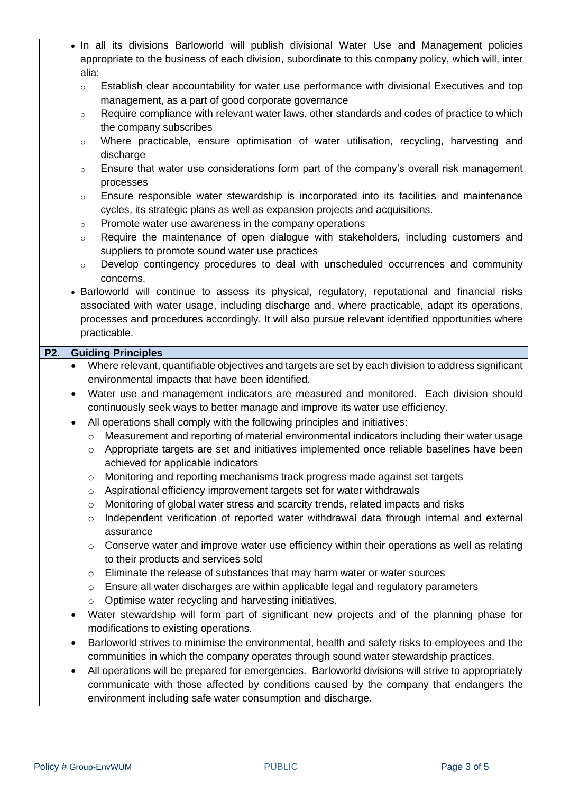|                  |                                                                                                        | • In all its divisions Barloworld will publish divisional Water Use and Management policies<br>appropriate to the business of each division, subordinate to this company policy, which will, inter            |  |  |  |
|------------------|--------------------------------------------------------------------------------------------------------|---------------------------------------------------------------------------------------------------------------------------------------------------------------------------------------------------------------|--|--|--|
|                  | alia:                                                                                                  |                                                                                                                                                                                                               |  |  |  |
|                  | Establish clear accountability for water use performance with divisional Executives and top<br>$\circ$ |                                                                                                                                                                                                               |  |  |  |
|                  |                                                                                                        | management, as a part of good corporate governance                                                                                                                                                            |  |  |  |
|                  |                                                                                                        | Require compliance with relevant water laws, other standards and codes of practice to which<br>$\circ$                                                                                                        |  |  |  |
|                  |                                                                                                        | the company subscribes                                                                                                                                                                                        |  |  |  |
|                  |                                                                                                        | Where practicable, ensure optimisation of water utilisation, recycling, harvesting and<br>$\circ$                                                                                                             |  |  |  |
|                  |                                                                                                        | discharge<br>Ensure that water use considerations form part of the company's overall risk management                                                                                                          |  |  |  |
|                  |                                                                                                        | $\circ$<br>processes                                                                                                                                                                                          |  |  |  |
|                  |                                                                                                        | Ensure responsible water stewardship is incorporated into its facilities and maintenance<br>$\circ$                                                                                                           |  |  |  |
|                  |                                                                                                        | cycles, its strategic plans as well as expansion projects and acquisitions.                                                                                                                                   |  |  |  |
|                  |                                                                                                        | Promote water use awareness in the company operations<br>$\circ$                                                                                                                                              |  |  |  |
|                  |                                                                                                        | Require the maintenance of open dialogue with stakeholders, including customers and<br>$\circ$                                                                                                                |  |  |  |
|                  |                                                                                                        | suppliers to promote sound water use practices<br>Develop contingency procedures to deal with unscheduled occurrences and community                                                                           |  |  |  |
|                  |                                                                                                        | $\circ$<br>concerns.                                                                                                                                                                                          |  |  |  |
|                  |                                                                                                        | • Barloworld will continue to assess its physical, regulatory, reputational and financial risks                                                                                                               |  |  |  |
|                  |                                                                                                        | associated with water usage, including discharge and, where practicable, adapt its operations,                                                                                                                |  |  |  |
|                  |                                                                                                        | processes and procedures accordingly. It will also pursue relevant identified opportunities where                                                                                                             |  |  |  |
|                  |                                                                                                        | practicable.                                                                                                                                                                                                  |  |  |  |
| P <sub>2</sub> . |                                                                                                        | <b>Guiding Principles</b>                                                                                                                                                                                     |  |  |  |
|                  | $\bullet$                                                                                              | Where relevant, quantifiable objectives and targets are set by each division to address significant                                                                                                           |  |  |  |
|                  | environmental impacts that have been identified.                                                       |                                                                                                                                                                                                               |  |  |  |
|                  | $\bullet$                                                                                              | Water use and management indicators are measured and monitored. Each division should                                                                                                                          |  |  |  |
|                  |                                                                                                        | continuously seek ways to better manage and improve its water use efficiency.                                                                                                                                 |  |  |  |
|                  | $\bullet$                                                                                              | All operations shall comply with the following principles and initiatives:                                                                                                                                    |  |  |  |
|                  |                                                                                                        | Measurement and reporting of material environmental indicators including their water usage<br>$\circ$<br>Appropriate targets are set and initiatives implemented once reliable baselines have been<br>$\circ$ |  |  |  |
|                  |                                                                                                        | achieved for applicable indicators                                                                                                                                                                            |  |  |  |
|                  |                                                                                                        | Monitoring and reporting mechanisms track progress made against set targets<br>O                                                                                                                              |  |  |  |
|                  |                                                                                                        | Aspirational efficiency improvement targets set for water withdrawals<br>$\circ$                                                                                                                              |  |  |  |
|                  |                                                                                                        | Monitoring of global water stress and scarcity trends, related impacts and risks<br>$\circ$                                                                                                                   |  |  |  |
|                  |                                                                                                        | Independent verification of reported water withdrawal data through internal and external<br>$\circ$                                                                                                           |  |  |  |
|                  |                                                                                                        | assurance                                                                                                                                                                                                     |  |  |  |
|                  |                                                                                                        | Conserve water and improve water use efficiency within their operations as well as relating<br>$\circ$                                                                                                        |  |  |  |
|                  |                                                                                                        | to their products and services sold<br>Eliminate the release of substances that may harm water or water sources<br>$\circ$                                                                                    |  |  |  |
|                  |                                                                                                        | Ensure all water discharges are within applicable legal and regulatory parameters<br>$\circ$                                                                                                                  |  |  |  |
|                  |                                                                                                        | Optimise water recycling and harvesting initiatives.<br>$\circ$                                                                                                                                               |  |  |  |
|                  | $\bullet$                                                                                              | Water stewardship will form part of significant new projects and of the planning phase for                                                                                                                    |  |  |  |
|                  |                                                                                                        |                                                                                                                                                                                                               |  |  |  |
|                  |                                                                                                        | modifications to existing operations.                                                                                                                                                                         |  |  |  |
|                  | $\bullet$                                                                                              | Barloworld strives to minimise the environmental, health and safety risks to employees and the                                                                                                                |  |  |  |
|                  |                                                                                                        | communities in which the company operates through sound water stewardship practices.                                                                                                                          |  |  |  |
|                  | $\bullet$                                                                                              | All operations will be prepared for emergencies. Barloworld divisions will strive to appropriately                                                                                                            |  |  |  |
|                  |                                                                                                        | communicate with those affected by conditions caused by the company that endangers the<br>environment including safe water consumption and discharge.                                                         |  |  |  |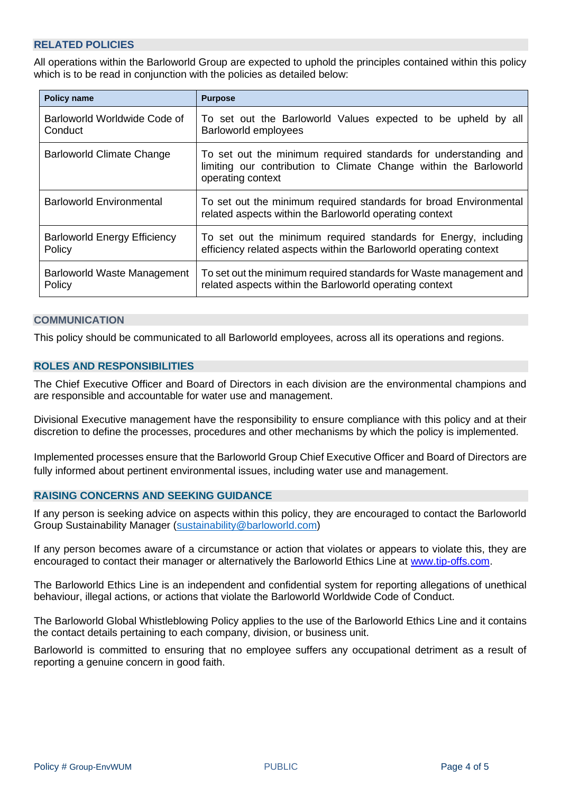# <span id="page-3-0"></span>**RELATED POLICIES**

All operations within the Barloworld Group are expected to uphold the principles contained within this policy which is to be read in conjunction with the policies as detailed below:

| <b>Policy name</b>                  | <b>Purpose</b>                                                                                                                                            |  |  |
|-------------------------------------|-----------------------------------------------------------------------------------------------------------------------------------------------------------|--|--|
| Barloworld Worldwide Code of        | To set out the Barloworld Values expected to be upheld by all                                                                                             |  |  |
| Conduct                             | Barloworld employees                                                                                                                                      |  |  |
| <b>Barloworld Climate Change</b>    | To set out the minimum required standards for understanding and<br>limiting our contribution to Climate Change within the Barloworld<br>operating context |  |  |
| <b>Barloworld Environmental</b>     | To set out the minimum required standards for broad Environmental<br>related aspects within the Barloworld operating context                              |  |  |
| <b>Barloworld Energy Efficiency</b> | To set out the minimum required standards for Energy, including                                                                                           |  |  |
| Policy                              | efficiency related aspects within the Barloworld operating context                                                                                        |  |  |
| Barloworld Waste Management         | To set out the minimum required standards for Waste management and                                                                                        |  |  |
| Policy                              | related aspects within the Barloworld operating context                                                                                                   |  |  |

#### <span id="page-3-1"></span>**COMMUNICATION**

<span id="page-3-2"></span>This policy should be communicated to all Barloworld employees, across all its operations and regions.

# **ROLES AND RESPONSIBILITIES**

The Chief Executive Officer and Board of Directors in each division are the environmental champions and are responsible and accountable for water use and management.

Divisional Executive management have the responsibility to ensure compliance with this policy and at their discretion to define the processes, procedures and other mechanisms by which the policy is implemented.

<span id="page-3-3"></span>Implemented processes ensure that the Barloworld Group Chief Executive Officer and Board of Directors are fully informed about pertinent environmental issues, including water use and management.

## **RAISING CONCERNS AND SEEKING GUIDANCE**

If any person is seeking advice on aspects within this policy, they are encouraged to contact the Barloworld Group Sustainability Manager [\(sustainability@barloworld.com\)](mailto:sustainability@barloworld.com)

If any person becomes aware of a circumstance or action that violates or appears to violate this, they are encouraged to contact their manager or alternatively the Barloworld Ethics Line at [www.tip-offs.com.](http://www.top-offs.com/)

The Barloworld Ethics Line is an independent and confidential system for reporting allegations of unethical behaviour, illegal actions, or actions that violate the Barloworld Worldwide Code of Conduct.

The Barloworld Global Whistleblowing Policy applies to the use of the Barloworld Ethics Line and it contains the contact details pertaining to each company, division, or business unit.

<span id="page-3-4"></span>Barloworld is committed to ensuring that no employee suffers any occupational detriment as a result of reporting a genuine concern in good faith.